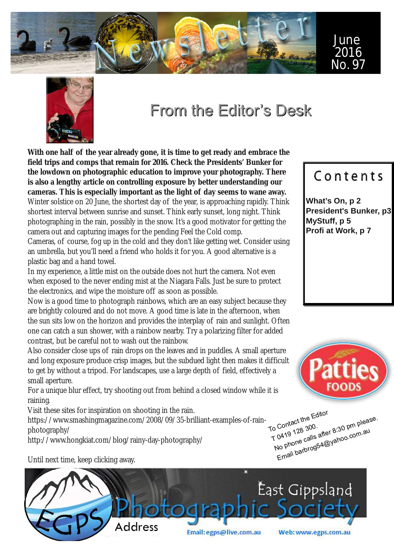



# From the Editor's Desk

**With one half of the year already gone, it is time to get ready and embrace the field trips and comps that remain for 2016. Check the Presidents' Bunker for the lowdown on photographic education to improve your photography. There is also a lengthy article on controlling exposure by better understanding our cameras. This is especially important as the light of day seems to wane away.** Winter solstice on 20 June, the shortest day of the year, is approaching rapidly. Think shortest interval between sunrise and sunset. Think early sunset, long night. Think photographing in the rain, possibly in the snow. It's a good motivator for getting the camera out and capturing images for the pending Feel the Cold comp.

Cameras, of course, fog up in the cold and they don't like getting wet. Consider using an umbrella, but you'll need a friend who holds it for you. A good alternative is a plastic bag and a hand towel.

In my experience, a little mist on the outside does not hurt the camera. Not even when exposed to the never ending mist at the Niagara Falls. Just be sure to protect the electronics, and wipe the moisture off as soon as possible.

Now is a good time to photograph rainbows, which are an easy subject because they are brightly coloured and do not move. A good time is late in the afternoon, when the sun sits low on the horizon and provides the interplay of rain and sunlight. Often one can catch a sun shower, with a rainbow nearby. Try a polarizing filter for added contrast, but be careful not to wash out the rainbow.

Also consider close ups of rain drops on the leaves and in puddles. A small aperture and long exposure produce crisp images, but the subdued light then makes it difficult to get by without a tripod. For landscapes, use a large depth of field, effectively a small aperture.

For a unique blur effect, try shooting out from behind a closed window while it is raining.

Visit these sites for inspiration on shooting in the rain.

https://www.smashingmagazine.com/2008/09/35-brilliant-examples-of-rainphotography/

http://www.hongkiat.com/blog/rainy-day-photography/



To Contact the Editor<br>To Contact the Editor T 0419 128 300. Come 128 300  $\frac{1}{10}$  Contact the Leman Contact the Leman of Contact is equal to the please.<br> $\frac{1}{10}$  (  $\frac{1}{10}$  + 128 300.<br>No phone calls after 8:30 pm please. Email barbrog54@yahoo.com.au .com.av

Until next time, keep clicking away.



# Contents

**What's On, p 2 President's Bunker, p3 MyStuff, p 5 Profi at Work, p 7**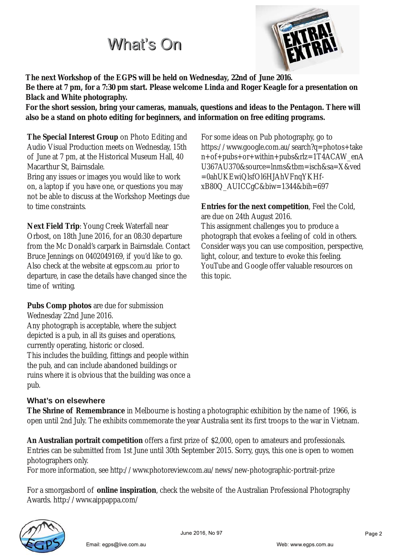# What's On



**The next Workshop of the EGPS will be held on Wednesday, 22nd of June 2016.**

Be there at 7 pm, for a 7:30 pm start. Please welcome Linda and Roger Keagle for a presentation on **Black and White photography.**

**For the short session, bring your cameras, manuals, questions and ideas to the Pentagon. There will also be a stand on photo editing for beginners, and information on free editing programs.**

**The Special Interest Group** on Photo Editing and Audio Visual Production meets on Wednesday, 15th of June at 7 pm, at the Historical Museum Hall, 40 Macarthur St, Bairnsdale.

Bring any issues or images you would like to work on, a laptop if you have one, or questions you may not be able to discuss at the Workshop Meetings due to time constraints.

**Next Field Trip**: Young Creek Waterfall near Orbost, on 18th June 2016, for an 08:30 departure from the Mc Donald's carpark in Bairnsdale. Contact Bruce Jennings on 0402049169, if you'd like to go. Also check at the website at egps.com.au prior to departure, in case the details have changed since the time of writing.

**Pubs Comp photos** are due for submission Wednesday 22nd June 2016. Any photograph is acceptable, where the subject depicted is a pub, in all its guises and operations, currently operating, historic or closed. This includes the building, fittings and people within the pub, and can include abandoned buildings or ruins where it is obvious that the building was once a pub.

## **What's on elsewhere**

**The Shrine of Remembrance** in Melbourne is hosting a photographic exhibition by the name of 1966, is open until 2nd July. The exhibits commemorate the year Australia sent its first troops to the war in Vietnam.

**An Australian portrait competition** offers a first prize of \$2,000, open to amateurs and professionals. Entries can be submitted from 1st June until 30th September 2015. Sorry, guys, this one is open to women photographers only.

For more information, see http://www.photoreview.com.au/news/new-photographic-portrait-prize

For a smorgasbord of **online inspiration**, check the website of the Australian Professional Photography Awards. http://www.aippappa.com/



June 2016, No 97

For some ideas on Pub photography, go to https://www.google.com.au/search?q=photos+take n+of+pubs+or+within+pubs&rlz=1T4ACAW\_enA U367AU370&source=lnms&tbm=isch&sa=X&ved =0ahUKEwiQlsfOl6HJAhVFnqYKHfxB80Q\_AUICCgC&biw=1344&bih=697

**Entries for the next competition**, Feel the Cold, are due on 24th August 2016. This assignment challenges you to produce a photograph that evokes a feeling of cold in others. Consider ways you can use composition, perspective, light, colour, and texture to evoke this feeling. YouTube and Google offer valuable resources on this topic.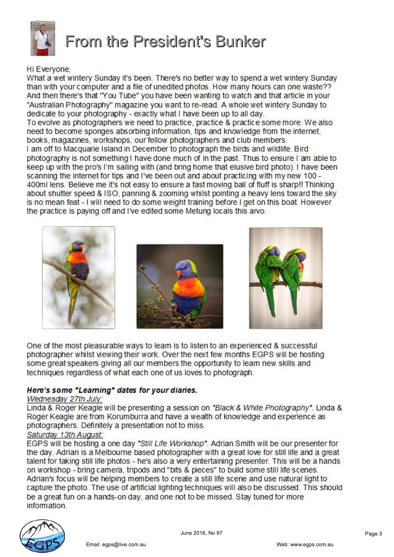

From the President's Bunker

### Hi Everyone,

What a wet wintery Sunday it's been. There's no better way to spend a wet wintery Sunday than with your computer and a file of unedited photos. How many hours can one waste?? And then there's that "You Tube" you have been wanting to watch and that article in your "Australian Photography" magazine you want to re-read. A whole wet wintery Sunday to dedicate to your photography - exactly what I have been up to all day. To evolve as photographers we need to practice, practice & practice some more. We also need to become sponges absorbing information, tips and knowledge from the internet. books, magazines, workshops, our fellow photographers and club members. I am off to Macquarie Island in December to photograph the birds and wildlife. Bird photography is not something I have done much of in the past. Thus to ensure I am able to keep up with the pro's I'm sailing with (and bring home that elusive bird photo). I have been scanning the internet for tips and I've been out and about practicing with my new 100 -400ml lens. Believe me it's not easy to ensure a fast moving ball of fluff is sharp!! Thinking about shutter speed & ISO, panning & zooming whilst pointing a heavy lens toward the sky is no mean feat - I will need to do some weight training before I get on this boat. However the practice is paying off and I've edited some Metung locals this arvo.



One of the most pleasurable ways to leam is to listen to an experienced & successful photographer whilst viewing their work. Over the next few months EGPS will be hosting some great speakers giving all our members the opportunity to leam new skills and techniques regardless of what each one of us loves to photograph.

### Here's some "Learning" dates for your diaries.

Email: egps@live.com.au

#### Wednesday 27th July:

Linda & Roger Keagle will be presenting a session on "Black & White Photography". Linda & Roger Keagle are from Korumburra and have a wealth of knowledge and experience as photographers. Definitely a presentation not to miss.

### Saturday 13th August:

EGPS will be hosting a one day "Still Life Workshop". Adrian Smith will be our presenter for the day. Adrian is a Melbourne based photographer with a great love for still life and a great talent for taking still life photos - he's also a very entertaining presenter. This will be a hands on workshop - bring camera, tripods and "bits & pieces" to build some still life scenes. Adrian's focus will be helping members to create a still life scene and use natural light to capture the photo. The use of artificial lighting techniques will also be discussed. This should be a great fun on a hands-on day, and one not to be missed. Stay tuned for more information.

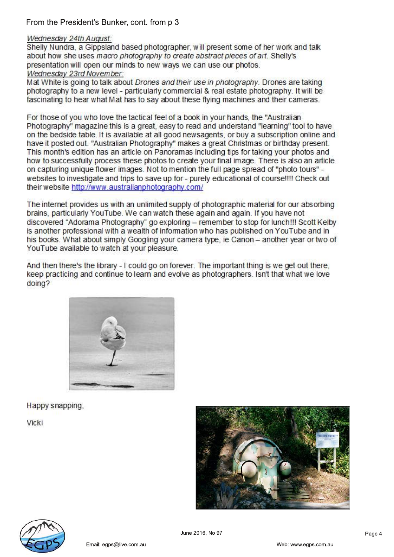From the President's Bunker, cont. from p 3

#### Wednesday 24th August:

Shelly Nundra, a Gippsland based photographer, will present some of her work and talk about how she uses macro photography to create abstract pieces of art. Shelly's presentation will open our minds to new ways we can use our photos. Wednesday 23rd November:

Mat White is going to talk about Drones and their use in photography. Drones are taking photography to a new level - particularly commercial & real estate photography. It will be fascinating to hear what Mat has to say about these flying machines and their cameras.

For those of you who love the tactical feel of a book in your hands, the "Australian" Photography" magazine this is a great, easy to read and understand "learning" tool to have on the bedside table. It is available at all good newsagents, or buy a subscription online and have it posted out. "Australian Photography" makes a great Christmas or birthday present. This month's edition has an article on Panoramas including tips for taking your photos and how to successfully process these photos to create your final image. There is also an article on capturing unique flower images. Not to mention the full page spread of "photo tours" websites to investigate and trips to save up for - purely educational of course!!!! Check out their website http://www.australianphotography.com/

The internet provides us with an unlimited supply of photographic material for our absorbing brains, particularly YouTube. We can watch these again and again. If you have not discovered "Adorama Photography" go exploring - remember to stop for lunch!!! Scott Kelby is another professional with a wealth of information who has published on YouTube and in his books. What about simply Googling your camera type, ie Canon - another year or two of YouTube available to watch at your pleasure.

And then there's the library - I could go on forever. The important thing is we get out there. keep practicing and continue to learn and evolve as photographers. Isn't that what we love doing?



Happy snapping,

Vicki



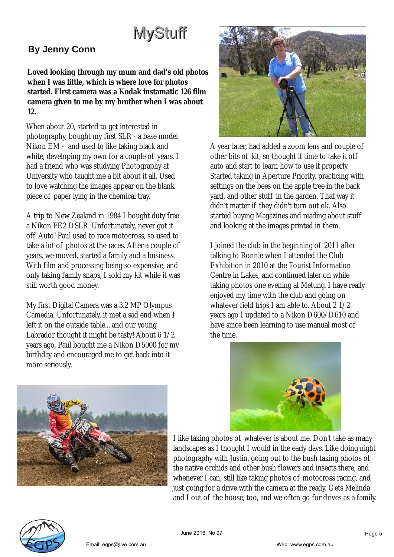# MyStuff

# **By Jenny Conn**

**Loved looking through my mum and dad's old photos when I was little, which is where love for photos started. First camera was a Kodak instamatic 126 film camera given to me by my brother when I was about 12.**

When about 20, started to get interested in photography, bought my first SLR - a base model Nikon EM - and used to like taking black and white, developing my own for a couple of years. I had a friend who was studying Photography at University who taught me a bit about it all. Used to love watching the images appear on the blank piece of paper lying in the chemical tray.

A trip to New Zealand in 1984 I bought duty free a Nikon FE2 DSLR. Unfortunately, never got it off Auto! Paul used to race motocross, so used to take a lot of photos at the races. After a couple of years, we moved, started a family and a business. With film and processing being so expensive, and only taking family snaps, I sold my kit while it was still worth good money.

My first Digital Camera was a 3.2 MP Olympus Camedia. Unfortunately, it met a sad end when I left it on the outside table....and our young Labrador thought it might be tasty! About 6 1/2 years ago, Paul bought me a Nikon D5000 for my birthday and encouraged me to get back into it more seriously.



A year later, had added a zoom lens and couple of other bits of kit, so thought it time to take it off auto and start to learn how to use it properly. Started taking in Aperture Priority, practicing with settings on the bees on the apple tree in the back yard, and other stuff in the garden. That way it didn't matter if they didn't turn out ok. Also started buying Magazines and reading about stuff and looking at the images printed in them.

I joined the club in the beginning of 2011 after talking to Ronnie when I attended the Club Exhibition in 2010 at the Tourist Information Centre in Lakes, and continued later on while taking photos one evening at Metung. I have really enjoyed my time with the club and going on whatever field trips I am able to. About 2 1/2 years ago I updated to a Nikon D600/D610 and have since been learning to use manual most of the time.





Email: egps@live.com.

I like taking photos of whatever is about me. Don't take as many landscapes as I thought I would in the early days. Like doing night photography with Justin, going out to the bush taking photos of the native orchids and other bush flowers and insects there, and whenever I can, still like taking photos of motocross racing, and just going for a drive with the camera at the ready. Gets Melinda and I out of the house, too, and we often go for drives as a family.

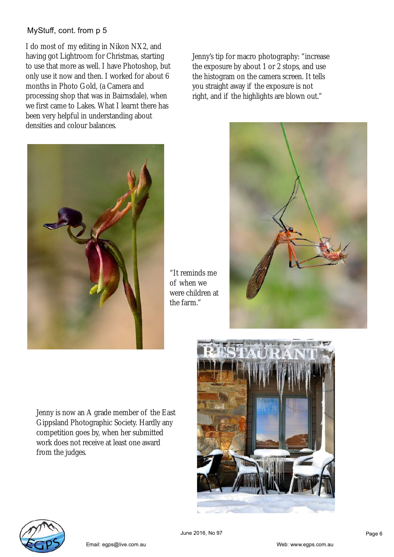## MyStuff, cont. from p 5

I do most of my editing in Nikon NX2, and having got Lightroom for Christmas, starting to use that more as well. I have Photoshop, but only use it now and then. I worked for about 6 months in Photo Gold, (a Camera and processing shop that was in Bairnsdale), when we first came to Lakes. What I learnt there has been very helpful in understanding about densities and colour balances.

Jenny's tip for macro photography: "increase the exposure by about 1 or 2 stops, and use the histogram on the camera screen. It tells you straight away if the exposure is not right, and if the highlights are blown out."



"It reminds me of when we were children at the farm."



Jenny is now an A grade member of the East Gippsland Photographic Society. Hardly any competition goes by, when her submitted work does not receive at least one award from the judges.



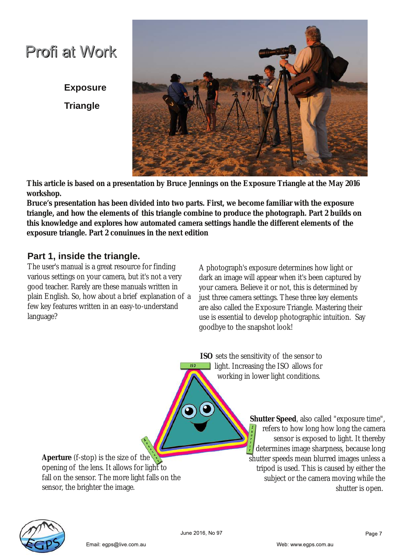# Profi at Work

**Exposure Triangle**



**This article is based on a presentation by Bruce Jennings on the Exposure Triangle at the May 2016 workshop.**

**Bruce's presentation has been divided into two parts. First, we become familiar with the exposure triangle, and how the elements of this triangle combine to produce the photograph. Part 2 builds on this knowledge and explores how automated camera settings handle the different elements of the exposure triangle. Part 2 conuinues in the next edition**

# **Part 1, inside the triangle.**

The user's manual is a great resource for finding various settings on your camera, but it's not a very good teacher. Rarely are these manuals written in plain English. So, how about a brief explanation of a few key features written in an easy-to-understand language?

A photograph's exposure determines how light or dark an image will appear when it's been captured by your camera. Believe it or not, this is determined by just three camera settings. These three key elements are also called the Exposure Triangle. Mastering their use is essential to develop photographic intuition. Say goodbye to the snapshot look!

**ISO** sets the sensitivity of the sensor to **light. Increasing the ISO allows for** working in lower light conditions.

**Aperture** (f-stop) is the size of the opening of the lens. It allows for light to fall on the sensor. The more light falls on the sensor, the brighter the image.

Email: egps@live.com.

**Shutter Speed**, also called "exposure time", refers to how long how long the camera sensor is exposed to light. It thereby determines image sharpness, because long shutter speeds mean blurred images unless a tripod is used. This is caused by either the subject or the camera moving while the shutter is open.

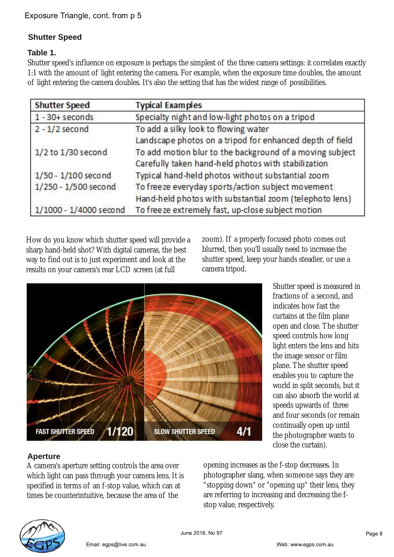# **Shutter Speed**

### **Table 1.**

Shutter speed's influence on exposure is perhaps the simplest of the three camera settings: it correlates exactly 1:1 with the amount of light entering the camera. For example, when the exposure time doubles, the amount of light entering the camera doubles. It's also the setting that has the widest range of possibilities.

| <b>Shutter Speed</b>   | <b>Typical Examples</b><br>Specialty night and low-light photos on a tripod |  |  |
|------------------------|-----------------------------------------------------------------------------|--|--|
| $1 - 30 +$ seconds     |                                                                             |  |  |
| $2 - 1/2$ second       | To add a silky look to flowing water                                        |  |  |
|                        | Landscape photos on a tripod for enhanced depth of field                    |  |  |
| 1/2 to 1/30 second     | To add motion blur to the background of a moving subject                    |  |  |
|                        | Carefully taken hand-held photos with stabilization                         |  |  |
| $1/50 - 1/100$ second  | Typical hand-held photos without substantial zoom                           |  |  |
| 1/250 - 1/500 second   | To freeze everyday sports/action subject movement                           |  |  |
|                        | Hand-held photos with substantial zoom (telephoto lens)                     |  |  |
| 1/1000 - 1/4000 second | To freeze extremely fast, up-close subject motion                           |  |  |

How do you know which shutter speed will provide a sharp hand-held shot? With digital cameras, the best way to find out is to just experiment and look at the results on your camera's rear LCD screen (at full

zoom). If a properly focused photo comes out blurred, then you'll usually need to increase the shutter speed, keep your hands steadier, or use a camera tripod.



Shutter speed is measured in fractions of a second, and indicates how fast the curtains at the film plane open and close. The shutter speed controls how long light enters the lens and hits the image sensor or film plane. The shutter speed enables you to capture the world in split seconds, but it can also absorb the world at speeds upwards of three and four seconds (or remain continually open up until the photographer wants to close the curtain).

## **Aperture**

A camera's aperture setting controls the area over which light can pass through your camera lens. It is specified in terms of an f-stop value, which can at times be counterintuitive, because the area of the

Email: egps@live.com.

opening increases as the f-stop decreases. In photographer slang, when someone says they are "stopping down" or "opening up" their lens, they are referring to increasing and decreasing the fstop value, respectively.

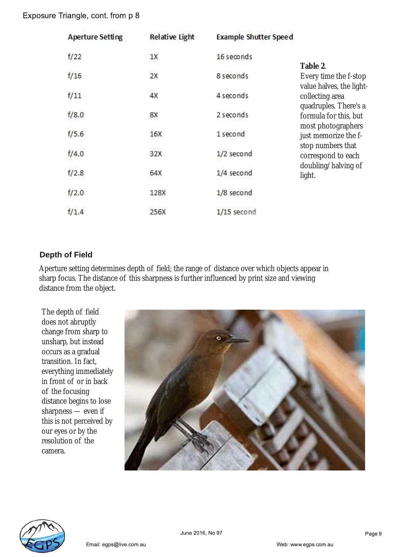### Exposure Triangle, cont. from p 8

| <b>Aperture Setting</b> | <b>Relative Light</b> | <b>Example Shutter Speed</b> |                                                                                                                                                                                                                                                  |
|-------------------------|-----------------------|------------------------------|--------------------------------------------------------------------------------------------------------------------------------------------------------------------------------------------------------------------------------------------------|
| f/22                    | 1X                    | 16 seconds                   | Table 2.                                                                                                                                                                                                                                         |
| f/16                    | 2X                    | 8 seconds                    | Every time the f-stop<br>value halves, the light-<br>collecting area<br>quadruples. There's a<br>formula for this, but<br>most photographers<br>just memorize the f-<br>stop numbers that<br>correspond to each<br>doubling/halving of<br>light. |
| f/11                    | 4X                    | 4 seconds                    |                                                                                                                                                                                                                                                  |
| f/8.0                   | 8X                    | 2 seconds                    |                                                                                                                                                                                                                                                  |
| f/5.6                   | 16X                   | 1 second                     |                                                                                                                                                                                                                                                  |
| f/4.0                   | 1,399,32<br>32X       | 1/2 second                   |                                                                                                                                                                                                                                                  |
| f/2.8                   | 64X                   | 1/4 second                   |                                                                                                                                                                                                                                                  |
| f/2.0                   | 128X                  | 1/8 second                   |                                                                                                                                                                                                                                                  |
| f/1.4                   | 256X                  | $1/15$ second                |                                                                                                                                                                                                                                                  |

### **Depth of Field**

Aperture setting determines depth of field; the range of distance over which objects appear in sharp focus. The distance of this sharpness is further influenced by print size and viewing distance from the object.

The depth of field does not abruptly change from sharp to unsharp, but instead occurs as a gradual transition. In fact, everything immediately in front of or in back of the focusing distance begins to lose sharpness — even if this is not perceived by our eyes or by the resolution of the camera.

Email: egps@live.com.